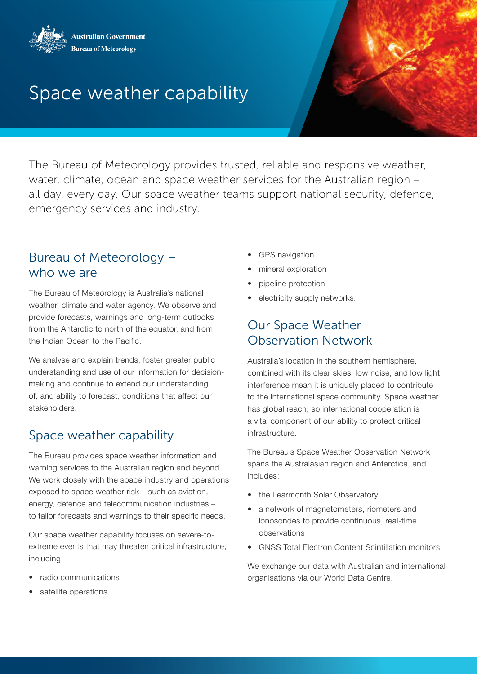

# Space weather capability

The Bureau of Meteorology provides trusted, reliable and responsive weather, water, climate, ocean and space weather services for the Australian region – all day, every day. Our space weather teams support national security, defence, emergency services and industry.

#### Bureau of Meteorology – who we are

The Bureau of Meteorology is Australia's national weather, climate and water agency. We observe and provide forecasts, warnings and long-term outlooks from the Antarctic to north of the equator, and from the Indian Ocean to the Pacific.

We analyse and explain trends; foster greater public understanding and use of our information for decisionmaking and continue to extend our understanding of, and ability to forecast, conditions that affect our stakeholders.

### Space weather capability

The Bureau provides space weather information and warning services to the Australian region and beyond. We work closely with the space industry and operations exposed to space weather risk – such as aviation, energy, defence and telecommunication industries – to tailor forecasts and warnings to their specific needs.

Our space weather capability focuses on severe-toextreme events that may threaten critical infrastructure, including:

- radio communications
- satellite operations
- GPS navigation
- mineral exploration
- pipeline protection
- electricity supply networks.

## Our Space Weather Observation Network

Australia's location in the southern hemisphere, combined with its clear skies, low noise, and low light interference mean it is uniquely placed to contribute to the international space community. Space weather has global reach, so international cooperation is a vital component of our ability to protect critical infrastructure.

The Bureau's Space Weather Observation Network spans the Australasian region and Antarctica, and includes:

- the Learmonth Solar Observatory
- a network of magnetometers, riometers and ionosondes to provide continuous, real-time observations
- GNSS Total Electron Content Scintillation monitors.

We exchange our data with Australian and international organisations via our World Data Centre.